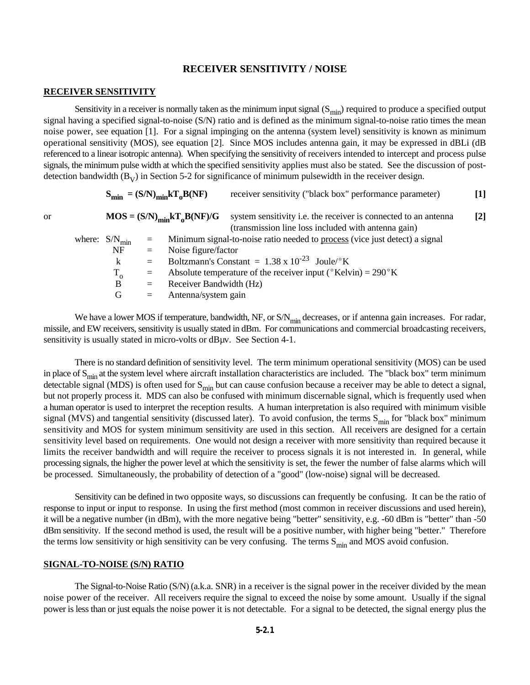# **RECEIVER SENSITIVITY / NOISE**

# **RECEIVER SENSITIVITY**

Sensitivity in a receiver is normally taken as the minimum input signal  $(S_{min})$  required to produce a specified output signal having a specified signal-to-noise (S/N) ratio and is defined as the minimum signal-to-noise ratio times the mean noise power, see equation [1]. For a signal impinging on the antenna (system level) sensitivity is known as minimum operational sensitivity (MOS), see equation [2]. Since MOS includes antenna gain, it may be expressed in dBLi (dB referenced to a linear isotropic antenna). When specifying the sensitivity of receivers intended to intercept and process pulse signals, the minimum pulse width at which the specified sensitivity applies must also be stated. See the discussion of postdetection bandwidth  $(B<sub>V</sub>)$  in Section 5-2 for significance of minimum pulsewidth in the receiver design.

|           |                           |          | $S_{\text{min}} = (S/N)_{\text{min}} kT_0 B(NF)$ | receiver sensitivity ("black box" performance parameter)                                                               | $[1]$ |
|-----------|---------------------------|----------|--------------------------------------------------|------------------------------------------------------------------------------------------------------------------------|-------|
| <b>or</b> |                           |          | $MOS = (S/N)_{min} kT_0B(NF)/G$                  | system sensitivity i.e. the receiver is connected to an antenna<br>(transmission line loss included with antenna gain) | $[2]$ |
|           | where: $S/N_{\text{min}}$ |          |                                                  | Minimum signal-to-noise ratio needed to process (vice just detect) a signal                                            |       |
|           | NF                        | $=$      | Noise figure/factor                              |                                                                                                                        |       |
|           | $\bf k$                   | $=$      |                                                  | Boltzmann's Constant = $1.38 \times 10^{-23}$ Joule/°K                                                                 |       |
|           | $T_{o}$                   | $=$      |                                                  | Absolute temperature of the receiver input ( $\degree$ Kelvin) = 290 $\degree$ K                                       |       |
|           | B                         | $=$      | Receiver Bandwidth (Hz)                          |                                                                                                                        |       |
|           | G                         | $\equiv$ | Antenna/system gain                              |                                                                                                                        |       |

We have a lower MOS if temperature, bandwidth, NF, or  $SN_{min}$  decreases, or if antenna gain increases. For radar, missile, and EW receivers, sensitivity is usually stated in dBm. For communications and commercial broadcasting receivers, sensitivity is usually stated in micro-volts or dBµv. See Section 4-1.

There is no standard definition of sensitivity level. The term minimum operational sensitivity (MOS) can be used in place of  $S_{\text{min}}$  at the system level where aircraft installation characteristics are included. The "black box" term minimum detectable signal (MDS) is often used for  $S_{min}$  but can cause confusion because a receiver may be able to detect a signal, but not properly process it. MDS can also be confused with minimum discernable signal, which is frequently used when a human operator is used to interpret the reception results. A human interpretation is also required with minimum visible signal (MVS) and tangential sensitivity (discussed later). To avoid confusion, the terms  $S_{min}$  for "black box" minimum sensitivity and MOS for system minimum sensitivity are used in this section. All receivers are designed for a certain sensitivity level based on requirements. One would not design a receiver with more sensitivity than required because it limits the receiver bandwidth and will require the receiver to process signals it is not interested in. In general, while processing signals, the higher the power level at which the sensitivity is set, the fewer the number of false alarms which will be processed. Simultaneously, the probability of detection of a "good" (low-noise) signal will be decreased.

Sensitivity can be defined in two opposite ways, so discussions can frequently be confusing. It can be the ratio of response to input or input to response. In using the first method (most common in receiver discussions and used herein), it will be a negative number (in dBm), with the more negative being "better" sensitivity, e.g. -60 dBm is "better" than -50 dBm sensitivity. If the second method is used, the result will be a positive number, with higher being "better." Therefore the terms low sensitivity or high sensitivity can be very confusing. The terms  $S_{\text{min}}$  and MOS avoid confusion.

### **SIGNAL-TO-NOISE (S/N) RATIO**

The Signal-to-Noise Ratio (S/N) (a.k.a. SNR) in a receiver is the signal power in the receiver divided by the mean noise power of the receiver. All receivers require the signal to exceed the noise by some amount. Usually if the signal power is less than or just equals the noise power it is not detectable. For a signal to be detected, the signal energy plus the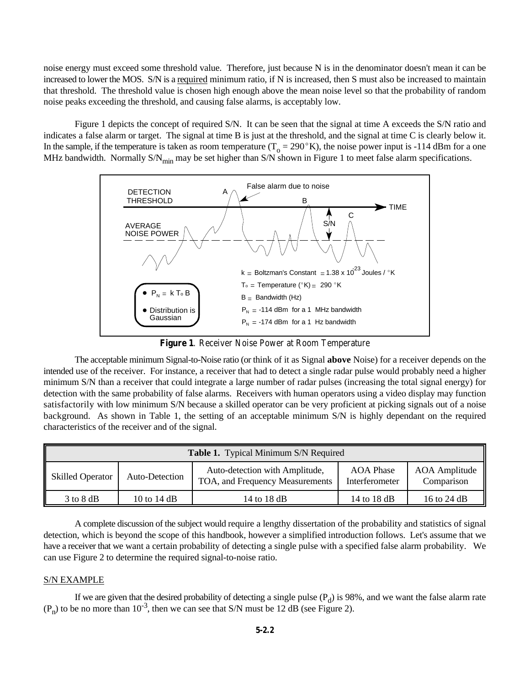noise energy must exceed some threshold value. Therefore, just because N is in the denominator doesn't mean it can be increased to lower the MOS. S/N is a required minimum ratio, if N is increased, then S must also be increased to maintain that threshold. The threshold value is chosen high enough above the mean noise level so that the probability of random noise peaks exceeding the threshold, and causing false alarms, is acceptably low.

Figure 1 depicts the concept of required S/N. It can be seen that the signal at time A exceeds the S/N ratio and indicates a false alarm or target. The signal at time B is just at the threshold, and the signal at time C is clearly below it. In the sample, if the temperature is taken as room temperature  $(T_0 = 290)$ °K), the noise power input is -114 dBm for a one MHz bandwidth. Normally  $S/N_{\text{min}}$  may be set higher than  $S/N$  shown in Figure 1 to meet false alarm specifications.



**Figure 1**. Receiver Noise Power at Room Temperature

The acceptable minimum Signal-to-Noise ratio (or think of it as Signal **above** Noise) for a receiver depends on the intended use of the receiver. For instance, a receiver that had to detect a single radar pulse would probably need a higher minimum S/N than a receiver that could integrate a large number of radar pulses (increasing the total signal energy) for detection with the same probability of false alarms. Receivers with human operators using a video display may function satisfactorily with low minimum S/N because a skilled operator can be very proficient at picking signals out of a noise background. As shown in Table 1, the setting of an acceptable minimum S/N is highly dependant on the required characteristics of the receiver and of the signal.

| <b>Table 1.</b> Typical Minimum S/N Required |                |                                                                   |                                    |                                    |  |  |  |  |  |
|----------------------------------------------|----------------|-------------------------------------------------------------------|------------------------------------|------------------------------------|--|--|--|--|--|
| <b>Skilled Operator</b>                      | Auto-Detection | Auto-detection with Amplitude,<br>TOA, and Frequency Measurements | <b>AOA</b> Phase<br>Interferometer | <b>AOA</b> Amplitude<br>Comparison |  |  |  |  |  |
| $3$ to $8$ dB                                | 10 to $14 dB$  | 14 to 18 dB                                                       | 14 to 18 dB                        | 16 to 24 dB                        |  |  |  |  |  |

A complete discussion of the subject would require a lengthy dissertation of the probability and statistics of signal detection, which is beyond the scope of this handbook, however a simplified introduction follows. Let's assume that we have a receiver that we want a certain probability of detecting a single pulse with a specified false alarm probability. We can use Figure 2 to determine the required signal-to-noise ratio.

# S/N EXAMPLE

If we are given that the desired probability of detecting a single pulse  $(P_d)$  is 98%, and we want the false alarm rate  $(P_n)$  to be no more than 10<sup>-3</sup>, then we can see that S/N must be 12 dB (see Figure 2).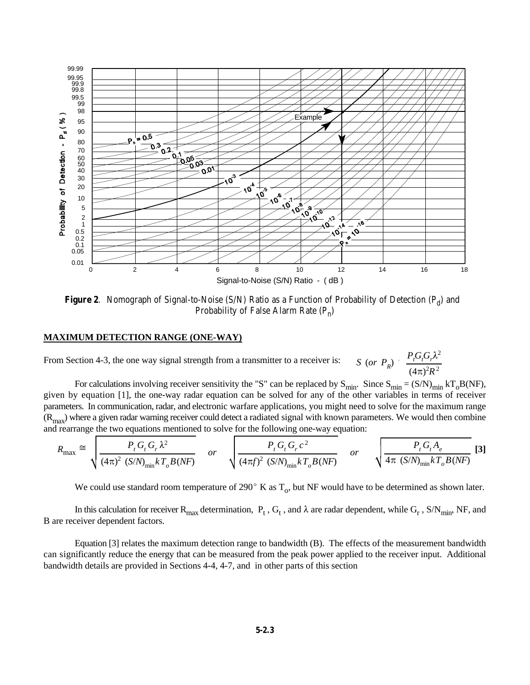

**Figure 2**. Nomograph of Signal-to-Noise (S/N) Ratio as a Function of Probability of Detection ( $P_d$ ) and Probability of False Alarm Rate  $(P_n)$ 

# **MAXIMUM DETECTION RANGE (ONE-WAY)**

*S* (*or P<sup>R</sup>* From Section 4-3, the one way signal strength from a transmitter to a receiver is:

$$
(or P_R) \cdot \frac{P_t G_t G_r \lambda^2}{(4\pi)^2 R^2}
$$

For calculations involving receiver sensitivity the "S" can be replaced by  $S_{min}$ . Since  $S_{min} = (S/N)_{min} kT_0 B(NF)$ , given by equation [1], the one-way radar equation can be solved for any of the other variables in terms of receiver parameters. In communication, radar, and electronic warfare applications, you might need to solve for the maximum range  $(R<sub>max</sub>)$  where a given radar warning receiver could detect a radiated signal with known parameters. We would then combine and rearrange the two equations mentioned to solve for the following one-way equation:

$$
R_{\text{max}} \cong \sqrt{\frac{P_t G_t G_r \lambda^2}{\left(4\pi\right)^2 \left(\frac{S}{N}\right)_{\text{min}} k T_o B(NF)}} \quad \text{or} \quad \sqrt{\frac{P_t G_t G_r c^2}{\left(4\pi f\right)^2 \left(\frac{S}{N}\right)_{\text{min}} k T_o B(NF)}} \quad \text{or} \quad \sqrt{\frac{P_t G_t A_e}{4\pi \left(\frac{S}{N}\right)_{\text{min}} k T_o B(NF)}} \tag{3}
$$

We could use standard room temperature of 290 $^{\circ}$  K as T<sub>0</sub>, but NF would have to be determined as shown later.

In this calculation for receiver R<sub>max</sub> determination, P<sub>t</sub>, G<sub>t</sub>, and  $\lambda$  are radar dependent, while G<sub>r</sub>, S/N<sub>min</sub>, NF, and B are receiver dependent factors.

Equation [3] relates the maximum detection range to bandwidth (B). The effects of the measurement bandwidth can significantly reduce the energy that can be measured from the peak power applied to the receiver input. Additional bandwidth details are provided in Sections 4-4, 4-7, and in other parts of this section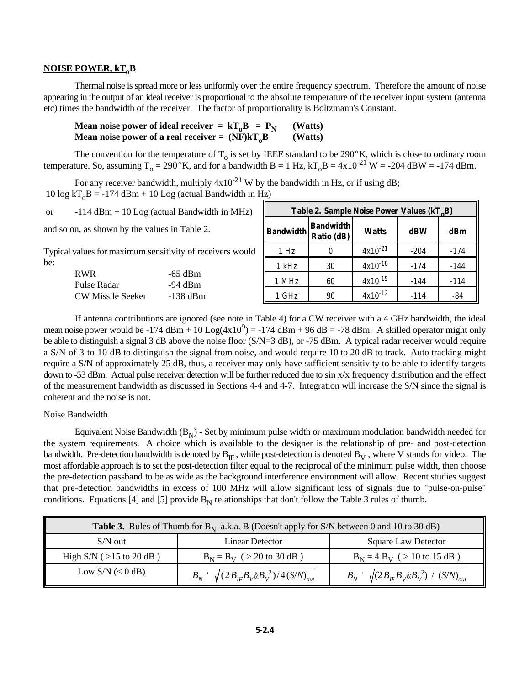# **NOISE POWER, kToB**

Thermal noise is spread more or less uniformly over the entire frequency spectrum. Therefore the amount of noise appearing in the output of an ideal receiver is proportional to the absolute temperature of the receiver input system (antenna etc) times the bandwidth of the receiver. The factor of proportionality is Boltzmann's Constant.

# **Mean noise power of ideal receiver =**  $kT_0B = P_N$  **(Watts)<br>
<b>Mean noise power of a real receiver =**  $(NF)kT_0B$  **(Watts) Mean noise power of a real receiver =**  $(NF)kT<sub>o</sub>B$

The convention for the temperature of  $T_0$  is set by IEEE standard to be 290 $\degree$ K, which is close to ordinary room temperature. So, assuming  $T_0 = 290^\circ K$ , and for a bandwidth B = 1 Hz,  $kT_0B = 4x10^{-21} W = -204$  dBW = -174 dBm.

For any receiver bandwidth, multiply  $4x10^{-21}$  W by the bandwidth in Hz, or if using dB; 10 log kT<sub>o</sub> $B = -174$  dBm + 10 Log (actual Bandwidth in Hz)

or  $-114 \text{ dBm} + 10 \text{ Log}$  (actual Bandwidth in MHz) and so on, as shown by the values in Table 2. Typical values for maximum sensitivity of receivers would be:

> RWR -65 dBm Pulse Radar -94 dBm CW Missile Seeker -138 dBm

| Table 2. Sample Noise Power Values (kT <sub>a</sub> B) |                                |              |            |        |  |  |  |  |  |
|--------------------------------------------------------|--------------------------------|--------------|------------|--------|--|--|--|--|--|
| <b>Bandwidth</b>                                       | <b>Bandwidth</b><br>Ratio (dB) | <b>Watts</b> | <b>dBW</b> | dBm    |  |  |  |  |  |
| 1 Hz                                                   |                                | $4x10^{-21}$ | $-204$     | $-174$ |  |  |  |  |  |
| 1 kHz                                                  | 30                             | $4x10^{-18}$ | $-174$     | $-144$ |  |  |  |  |  |
| 1 MHz                                                  | 60                             | $4x10^{-15}$ | $-144$     | $-114$ |  |  |  |  |  |
| 1 GHz                                                  | 90                             | $4x10^{-12}$ | $-114$     | -84    |  |  |  |  |  |

If antenna contributions are ignored (see note in Table 4) for a CW receiver with a 4 GHz bandwidth, the ideal mean noise power would be -174 dBm + 10 Log( $4x10^9$ ) = -174 dBm + 96 dB = -78 dBm. A skilled operator might only be able to distinguish a signal 3 dB above the noise floor (S/N=3 dB), or -75 dBm. A typical radar receiver would require a S/N of 3 to 10 dB to distinguish the signal from noise, and would require 10 to 20 dB to track. Auto tracking might require a S/N of approximately 25 dB, thus, a receiver may only have sufficient sensitivity to be able to identify targets down to -53 dBm. Actual pulse receiver detection will be further reduced due to sin x/x frequency distribution and the effect of the measurement bandwidth as discussed in Sections 4-4 and 4-7. Integration will increase the S/N since the signal is coherent and the noise is not.

### Noise Bandwidth

Equivalent Noise Bandwidth  $(B<sub>N</sub>)$  - Set by minimum pulse width or maximum modulation bandwidth needed for the system requirements. A choice which is available to the designer is the relationship of pre- and post-detection bandwidth. Pre-detection bandwidth is denoted by  $B_{IF}$ , while post-detection is denoted  $B_V$ , where V stands for video. The most affordable approach is to set the post-detection filter equal to the reciprocal of the minimum pulse width, then choose the pre-detection passband to be as wide as the background interference environment will allow. Recent studies suggest that pre-detection bandwidths in excess of 100 MHz will allow significant loss of signals due to "pulse-on-pulse" conditions. Equations [4] and [5] provide  $B<sub>N</sub>$  relationships that don't follow the Table 3 rules of thumb.

| <b>Table 3.</b> Rules of Thumb for $B_N$ a.k.a. B (Doesn't apply for S/N between 0 and 10 to 30 dB) |                                                           |                                                        |  |  |  |  |  |
|-----------------------------------------------------------------------------------------------------|-----------------------------------------------------------|--------------------------------------------------------|--|--|--|--|--|
| $S/N$ out                                                                                           | Linear Detector                                           | Square Law Detector                                    |  |  |  |  |  |
| High $S/N$ ( $>15$ to 20 dB)                                                                        | $B_N = B_V$ ( > 20 to 30 dB)                              | $B_N = 4 B_V$ ( > 10 to 15 dB)                         |  |  |  |  |  |
| Low $S/N \ll 0$ dB)                                                                                 | $B_{N}$ $\sqrt{(2B_{IF}B_{V} \& B_{V}^{2})/4(S/N)}_{out}$ | $B_{N}$ $\sqrt{(2B_{IF}B_{V}\&B_{V}^{2})/(S/N)}_{out}$ |  |  |  |  |  |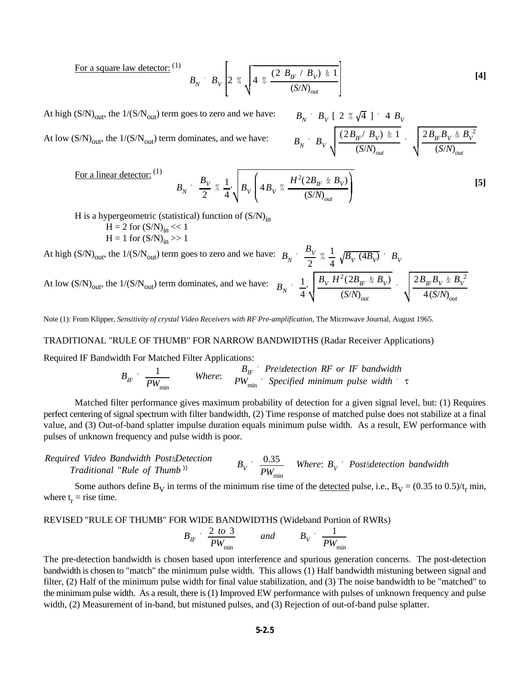For a square law detector:  $(1)$ 

$$
B_N \stackrel{\text{'}}{=} B_V \left[ 2 \frac{\%}{\%} \frac{\left( 2 \frac{B_H}{\%} \cdot B_V \right) \frac{\%}{\% 1}}{\left( S/N \right)_{\text{out}}} \right]
$$
 [4]

At high  $(S/N)_{\text{out}}$ , the  $1/(S/N_{\text{out}})$  term goes to zero and we have: At low  $(S/N)_{\text{out}}$ , the  $1/(S/N_{\text{out}})$  term dominates, and we have:

For a linear d

$$
B_{N} \, B_{V} \, \left[ \, 2 \, \frac{\% \, \sqrt{4} \, \int \, 4 \, B_{V}}{(2 \, B_{F} / \, B_{V}) \, \& \, 1} \right] \, \sqrt{\frac{2 \, B_{F} B_{V} \, \& \, B_{V}^{2}}{(S/N)_{out}}} \, .
$$

$$
\frac{\text{detector:}}{B_N} \cdot \frac{B_V}{2} \frac{1}{4} \sqrt{B_V \left( 4B_V \frac{H^2 (2B_{IF} \& B_V)}{(S/N)_{out}} \right)}
$$
 [5]

H is a hypergeometric (statistical) function of  $(S/N)_{in}$ 

 $H = 2$  for  $(S/N)_{in} << 1$  $H = 1$  for  $(S/N)_{in} >> 1$ 

 $B_N^{\prime}$  $B_V^{\prime}$ 2 1 At high  $(S/N)_{\text{out}}$ , the 1/(S/N<sub>out</sub>) term goes to zero and we have:  $B_N \frac{B_V}{2} \frac{1}{4} \sqrt{B_V (4B_V)}$   $B_V$ 

 $B_N$ <sup>,</sup>  $\frac{1}{4}$ 4  $\cdot$   $B_V H^2(2B_H \& B_V)$ (*S*/*N*) *out*  $2B_{IF}B_{V}$  &  $B_{V}^{2}$ 4(*S*/*N*) *out* At low  $(S/N)_{\text{out}}$ , the  $1/(S/N_{\text{out}})$  term dominates, and we have:

Note (1): From Klipper, *Sensitivity of crystal Video Receivers with RF Pre-amplification*, The Microwave Journal, August 1965.

# TRADITIONAL "RULE OF THUMB" FOR NARROW BANDWIDTHS (Radar Receiver Applications)

Required IF Bandwidth For Matched Filter Applications:

$$
B_{IF} \quad \frac{1}{PW_{min}} \qquad \text{Where:} \qquad B_{IF} \quad \text{Predetection RF or IF bandwidth} \\ PW_{min} \quad \text{Specificed minimum pulse width} \quad \tau
$$

Matched filter performance gives maximum probability of detection for a given signal level, but: (1) Requires perfect centering of signal spectrum with filter bandwidth, (2) Time response of matched pulse does not stabilize at a final value, and (3) Out-of-band splatter impulse duration equals minimum pulse width. As a result, EW performance with pulses of unknown frequency and pulse width is poor.

Required Video Bandwidth Post&Detection  
Traditional "Rule of Thumb") 
$$
B_V \frac{0.35}{PW_{min}} \quad Where: B_V \frac{Post&detection bandwidth}{PW_{min}}
$$

Some authors define B<sub>V</sub> in terms of the minimum rise time of the <u>detected</u> pulse, i.e., B<sub>V</sub> = (0.35 to 0.5)/t<sub>r</sub> min, where  $t_r$  = rise time.

# REVISED "RULE OF THUMB" FOR WIDE BANDWIDTHS (Wideband Portion of RWRs)

$$
B_{IF} \quad \frac{2 \text{ to } 3}{PW_{\min}} \qquad \text{and} \qquad B_{V} \quad \frac{1}{PW_{\min}}
$$

The pre-detection bandwidth is chosen based upon interference and spurious generation concerns. The post-detection bandwidth is chosen to "match" the minimum pulse width. This allows (1) Half bandwidth mistuning between signal and filter, (2) Half of the minimum pulse width for final value stabilization, and (3) The noise bandwidth to be "matched" to the minimum pulse width. As a result, there is (1) Improved EW performance with pulses of unknown frequency and pulse width, (2) Measurement of in-band, but mistuned pulses, and (3) Rejection of out-of-band pulse splatter.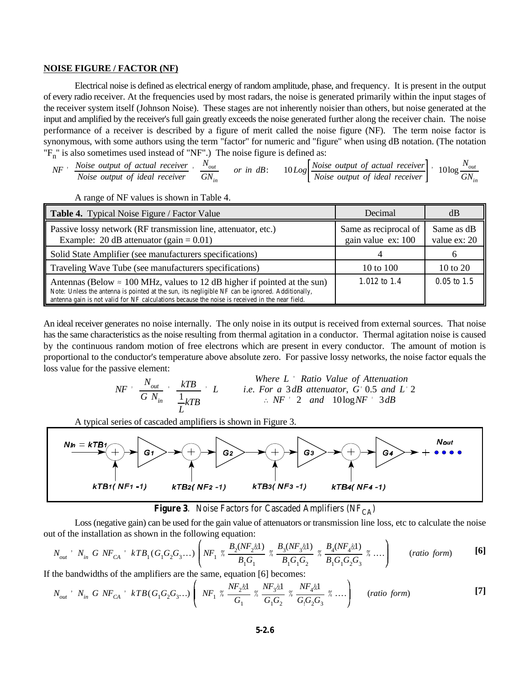#### **NOISE FIGURE / FACTOR (NF)**

Electrical noise is defined as electrical energy of random amplitude, phase, and frequency. It is present in the output of every radio receiver. At the frequencies used by most radars, the noise is generated primarily within the input stages of the receiver system itself (Johnson Noise). These stages are not inherently noisier than others, but noise generated at the input and amplified by the receiver's full gain greatly exceeds the noise generated further along the receiver chain. The noise performance of a receiver is described by a figure of merit called the noise figure (NF). The term noise factor is synonymous, with some authors using the term "factor" for numeric and "figure" when using dB notation. (The notation  ${}^{\prime}F_n$ " is also sometimes used instead of "NF".) The noise figure is defined as:

$$
\overline{NF} \cdot \frac{\text{Noise output of actual receiver}}{\text{Noise output of ideal receiver}} \cdot \frac{N_{\text{out}}}{GN_{\text{in}}} \quad \text{or in dB:} \quad 10\text{Log}\left[\frac{\text{Noise output of actual receiver}}{\text{Noise output of ideal receiver}}\right] \cdot 10\text{log}\frac{N_{\text{out}}}{GN_{\text{in}}}
$$

A range of NF values is shown in Table 4.

| Table 4. Typical Noise Figure / Factor Value                                                                                                                                                                                                                                          | Decimal                                     |                            |
|---------------------------------------------------------------------------------------------------------------------------------------------------------------------------------------------------------------------------------------------------------------------------------------|---------------------------------------------|----------------------------|
| Passive lossy network (RF transmission line, attenuator, etc.)<br>Example: 20 dB attenuator (gain = $0.01$ )                                                                                                                                                                          | Same as reciprocal of<br>gain value ex: 100 | Same as dB<br>value ex: 20 |
| Solid State Amplifier (see manufacturers specifications)                                                                                                                                                                                                                              |                                             |                            |
| Traveling Wave Tube (see manufacturers specifications)                                                                                                                                                                                                                                | 10 to 100                                   | 10 to 20                   |
| Antennas (Below $\approx 100$ MHz, values to 12 dB higher if pointed at the sun)<br>Note: Unless the antenna is pointed at the sun, its negligible NF can be ignored. Additionally,<br>antenna gain is not valid for NF calculations because the noise is received in the near field. | 1.012 to $1.4$                              | $0.05$ to 1.5              |

An ideal receiver generates no noise internally. The only noise in its output is received from external sources. That noise has the same characteristics as the noise resulting from thermal agitation in a conductor. Thermal agitation noise is caused by the continuous random motion of free electrons which are present in every conductor. The amount of motion is proportional to the conductor's temperature above absolute zero. For passive lossy networks, the noise factor equals the loss value for the passive element:

$$
NF \frac{N_{out}}{G N_{in}} \frac{KTB}{\frac{1}{L}KTB} \frac{L}{L} \frac{Where L'}{L} \text{Ratio Value of Attenuation}
$$
\n
$$
\therefore NF \frac{1}{2} \text{ and } 10\log NF \frac{1}{3} \text{ dB}
$$

A typical series of cascaded amplifiers is shown in Figure 3.



**Figure 3**. Noise Factors for Cascaded Amplifiers (NF $_{\text{CA}}$ )

Loss (negative gain) can be used for the gain value of attenuators or transmission line loss, etc to calculate the noise out of the installation as shown in the following equation:

$$
N_{out} \text{ }^{'} N_{in} G \text{ } NF_{CA} \text{ }^{'} kTB_1(G_1G_2G_3...)\left(NF_1 \text{ }^{''} \frac{B_2(NF_2\&1)}{B_1G_1} \text{ }^{''} \frac{B_3(NF_3\&1)}{B_1G_1G_2} \text{ }^{''} \frac{B_4(NF_4\&1)}{B_1G_1G_2G_3} \text{ }^{''} \dots\right) \qquad \text{(ratio form)} \qquad \text{[6]}
$$

If the bandwidths of the amplifiers are the same, equation [6] becomes:

$$
N_{out} \text{ }^{\prime} N_{in} \text{ } G \text{ } NF_{CA} \text{ }^{\prime} \text{ } kTB(G_1G_2G_3\ldots) \left( NF_1 \text{ }^{\prime} \text{ } \frac{NF_2\&1}{G_1} \text{ }^{\prime} \text{ } \frac{NF_3\&1}{G_1G_2} \text{ }^{\prime} \text{ } \frac{NF_4\&1}{G_1G_2G_3} \text{ }^{\prime} \text{ } \ldots \right) \qquad \text{(ratio form)} \qquad \qquad [7]
$$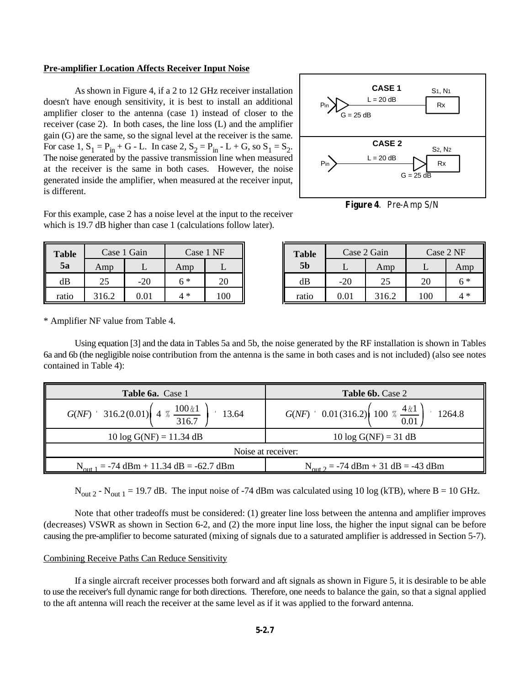# **Pre-amplifier Location Affects Receiver Input Noise**

As shown in Figure 4, if a 2 to 12 GHz receiver installation doesn't have enough sensitivity, it is best to install an additional amplifier closer to the antenna (case 1) instead of closer to the receiver (case 2). In both cases, the line loss (L) and the amplifier gain (G) are the same, so the signal level at the receiver is the same. For case 1,  $S_1 = P_{in} + G - L$ . In case 2,  $S_2 = P_{in} - L + G$ , so  $S_1 = S_2$ . The noise generated by the passive transmission line when measured at the receiver is the same in both cases. However, the noise generated inside the amplifier, when measured at the receiver input, is different.



**Figure 4**. Pre-Amp S/N

For this example, case 2 has a noise level at the input to the receiver which is 19.7 dB higher than case 1 (calculations follow later).

| <b>Table</b> |       | Case 1 Gain |       | Case 1 NF | <b>Table</b>   |
|--------------|-------|-------------|-------|-----------|----------------|
| 5a           | Amp   |             | Amp   |           | 5 <sub>b</sub> |
| dВ           | 25    | $-20$       | 6*    |           | dB             |
| ratio        | 316.2 | 0.01        | $4 *$ | 00        | ratio          |

| <b>Table</b> |       | Case 1 Gain |      | Case 1 NF | <b>Table</b>   |       | Case 2 Gain |          | Case 2 NF |  |
|--------------|-------|-------------|------|-----------|----------------|-------|-------------|----------|-----------|--|
| 5a           | Amp   | ⊥           | Amp  | ∸         | 5 <sub>b</sub> | ∸     | Amp         | <b>I</b> | Amp       |  |
| dB           | 25    | $-20$       | $6*$ | 20        | dB             | $-20$ | 25          | 20       | $6*$      |  |
| ratio        | 316.2 | $\rm 0.01$  | $4*$ | 100       | ratio          | 0.01  | 316.2       | 100      | $4 *$     |  |

\* Amplifier NF value from Table 4.

Using equation [3] and the data in Tables 5a and 5b, the noise generated by the RF installation is shown in Tables 6a and 6b (the negligible noise contribution from the antenna is the same in both cases and is not included) (also see notes contained in Table 4):

| Table 6a. Case 1                                                | <b>Table 6b.</b> Case 2                                              |  |  |  |  |
|-----------------------------------------------------------------|----------------------------------------------------------------------|--|--|--|--|
| $G(NF)$ 316.2(0.01) $\left(4 \frac{\pi}{316.7}\right)$<br>13.64 | $G(NF)$ ' 0.01 (316.2) $\left(100 \frac{\pi}{6.01}\right)$<br>1264.8 |  |  |  |  |
| $10 \log G(NF) = 11.34 dB$                                      | 10 $log G(NF) = 31 dB$                                               |  |  |  |  |
| Noise at receiver:                                              |                                                                      |  |  |  |  |
| $N_{\text{out } 1}$ = -74 dBm + 11.34 dB = -62.7 dBm            | $N_{\text{out }2}$ = -74 dBm + 31 dB = -43 dBm                       |  |  |  |  |

 $N_{\text{out 2}}$  -  $N_{\text{out 1}}$  = 19.7 dB. The input noise of -74 dBm was calculated using 10 log (kTB), where B = 10 GHz.

Note that other tradeoffs must be considered: (1) greater line loss between the antenna and amplifier improves (decreases) VSWR as shown in Section 6-2, and (2) the more input line loss, the higher the input signal can be before causing the pre-amplifier to become saturated (mixing of signals due to a saturated amplifier is addressed in Section 5-7).

# Combining Receive Paths Can Reduce Sensitivity

If a single aircraft receiver processes both forward and aft signals as shown in Figure 5, it is desirable to be able to use the receiver's full dynamic range for both directions. Therefore, one needs to balance the gain, so that a signal applied to the aft antenna will reach the receiver at the same level as if it was applied to the forward antenna.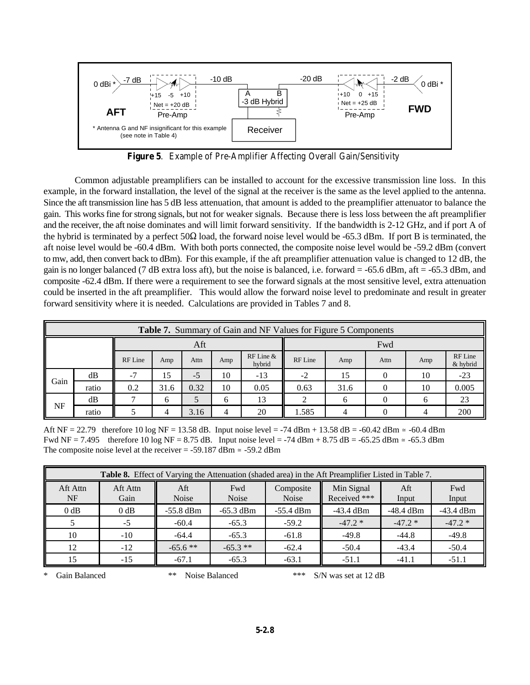

**Figure 5**. Example of Pre-Amplifier Affecting Overall Gain/Sensitivity

Common adjustable preamplifiers can be installed to account for the excessive transmission line loss. In this example, in the forward installation, the level of the signal at the receiver is the same as the level applied to the antenna. Since the aft transmission line has 5 dB less attenuation, that amount is added to the preamplifier attenuator to balance the gain. This works fine for strong signals, but not for weaker signals. Because there is less loss between the aft preamplifier and the receiver, the aft noise dominates and will limit forward sensitivity. If the bandwidth is 2-12 GHz, and if port A of the hybrid is terminated by a perfect 50 $\Omega$  load, the forward noise level would be -65.3 dBm. If port B is terminated, the aft noise level would be -60.4 dBm. With both ports connected, the composite noise level would be -59.2 dBm (convert to mw, add, then convert back to dBm). For this example, if the aft preamplifier attenuation value is changed to 12 dB, the gain is no longer balanced (7 dB extra loss aft), but the noise is balanced, i.e. forward = -65.6 dBm, aft = -65.3 dBm, and composite -62.4 dBm. If there were a requirement to see the forward signals at the most sensitive level, extra attenuation could be inserted in the aft preamplifier. This would allow the forward noise level to predominate and result in greater forward sensitivity where it is needed. Calculations are provided in Tables 7 and 8.

| <b>Table 7.</b> Summary of Gain and NF Values for Figure 5 Components |       |                      |      |      |     |                     |                |      |      |              |                     |
|-----------------------------------------------------------------------|-------|----------------------|------|------|-----|---------------------|----------------|------|------|--------------|---------------------|
|                                                                       |       | Aft<br>Fwd           |      |      |     |                     |                |      |      |              |                     |
|                                                                       |       | RF Line              | Amp  | Attn | Amp | RF Line &<br>hybrid | <b>RF</b> Line | Amp  | Attn | Amp          | RF Line<br>& hybrid |
|                                                                       | dB    | $\overline{ }$<br>н. | 15   | $-5$ | 10  | $-13$               | $-2$           | 15   |      | 10           | $-23$               |
| Gain                                                                  | ratio | 0.2                  | 31.6 | 0.32 | 10  | 0.05                | 0.63           | 31.6 |      | 10           | 0.005               |
| NF                                                                    | dB    |                      | 6    |      | 6   | 13                  | 2              | h    |      | <sub>6</sub> | 23                  |
|                                                                       | ratio |                      | 4    | 3.16 | 4   | 20                  | 1.585          |      |      |              | 200                 |

Aft NF = 22.79 therefore 10 log NF = 13.58 dB. Input noise level = -74 dBm + 13.58 dB = -60.42 dBm  $\le$  -60.4 dBm Fwd NF = 7.495 therefore 10 log NF = 8.75 dB. Input noise level = -74 dBm + 8.75 dB = -65.25 dBm  $\approx$  -65.3 dBm The composite noise level at the receiver = -59.187 dBm  $\approx$  -59.2 dBm

| <b>Table 8.</b> Effect of Varying the Attenuation (shaded area) in the Aft Preamplifier Listed in Table 7. |                  |                     |                     |                           |                            |              |              |  |  |  |  |
|------------------------------------------------------------------------------------------------------------|------------------|---------------------|---------------------|---------------------------|----------------------------|--------------|--------------|--|--|--|--|
| Aft Attn<br>NF                                                                                             | Aft Attn<br>Gain | Aft<br><b>Noise</b> | Fwd<br><b>Noise</b> | Composite<br><b>Noise</b> | Min Signal<br>Received *** | Aft<br>Input | Fwd<br>Input |  |  |  |  |
| 0 dB                                                                                                       | 0 dB             | $-55.8$ dBm         | $-65.3$ dBm         | $-55.4$ dBm               | $-43.4$ dBm                | $-48.4$ dBm  | $-43.4$ dBm  |  |  |  |  |
|                                                                                                            | $-5$             | $-60.4$             | $-65.3$             | $-59.2$                   | $-47.2*$                   | $-47.2*$     | $-47.2*$     |  |  |  |  |
| 10                                                                                                         | $-10$            | $-64.4$             | $-65.3$             | $-61.8$                   | $-49.8$                    | $-44.8$      | $-49.8$      |  |  |  |  |
| 12                                                                                                         | $-12$            | $-65.6**$           | $-65.3**$           | $-62.4$                   | $-50.4$                    | $-43.4$      | $-50.4$      |  |  |  |  |
| 15                                                                                                         | $-15$            | $-67.1$             | $-65.3$             | $-63.1$                   | $-51.1$                    | $-41.1$      | $-51.1$      |  |  |  |  |

Gain Balanced \*\* Noise Balanced \*\* S/N was set at 12 dB